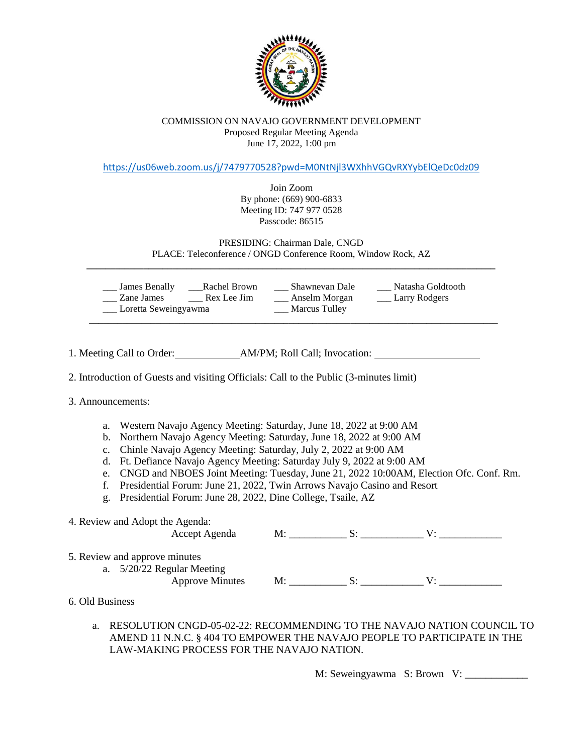

## COMMISSION ON NAVAJO GOVERNMENT DEVELOPMENT Proposed Regular Meeting Agenda June 17, 2022, 1:00 pm

<https://us06web.zoom.us/j/7479770528?pwd=M0NtNjl3WXhhVGQvRXYybElQeDc0dz09>

Join Zoom By phone: (669) 900-6833 Meeting ID: 747 977 0528 Passcode: 86515

PRESIDING: Chairman Dale, CNGD PLACE: Teleconference / ONGD Conference Room, Window Rock, AZ **\_\_\_\_\_\_\_\_\_\_\_\_\_\_\_\_\_\_\_\_\_\_\_\_\_\_\_\_\_\_\_\_\_\_\_\_\_\_\_\_\_\_\_\_\_\_\_\_\_\_\_\_\_\_\_\_\_\_\_\_\_\_\_\_\_\_\_\_\_\_\_\_\_\_\_\_\_\_\_\_\_\_\_\_\_\_**

| James Benally        | Rachel Brown | Shawnevan Dale | Natasha Goldtooth |
|----------------------|--------------|----------------|-------------------|
| Zane James           | Rex Lee Jim  | Anselm Morgan  | Larry Rodgers     |
| Loretta Seweingyawma |              | Marcus Tulley  |                   |

1. Meeting Call to Order: AM/PM; Roll Call; Invocation:

2. Introduction of Guests and visiting Officials: Call to the Public (3-minutes limit)

- 3. Announcements:
	- a. Western Navajo Agency Meeting: Saturday, June 18, 2022 at 9:00 AM
	- b. Northern Navajo Agency Meeting: Saturday, June 18, 2022 at 9:00 AM
	- c. Chinle Navajo Agency Meeting: Saturday, July 2, 2022 at 9:00 AM
	- d. Ft. Defiance Navajo Agency Meeting: Saturday July 9, 2022 at 9:00 AM
	- e. CNGD and NBOES Joint Meeting: Tuesday, June 21, 2022 10:00AM, Election Ofc. Conf. Rm.
	- f. Presidential Forum: June 21, 2022, Twin Arrows Navajo Casino and Resort
	- g. Presidential Forum: June 28, 2022, Dine College, Tsaile, AZ

|                 | 4. Review and Adopt the Agenda:                                                    |    |       |    |
|-----------------|------------------------------------------------------------------------------------|----|-------|----|
|                 | Accept Agenda                                                                      | M: | $S$ : |    |
| a.              | 5. Review and approve minutes<br>5/20/22 Regular Meeting<br><b>Approve Minutes</b> | M: | S:    | V۰ |
| 6. Old Business |                                                                                    |    |       |    |

a. RESOLUTION CNGD-05-02-22: RECOMMENDING TO THE NAVAJO NATION COUNCIL TO AMEND 11 N.N.C. § 404 TO EMPOWER THE NAVAJO PEOPLE TO PARTICIPATE IN THE LAW-MAKING PROCESS FOR THE NAVAJO NATION.

M: Seweingyawma S: Brown V: